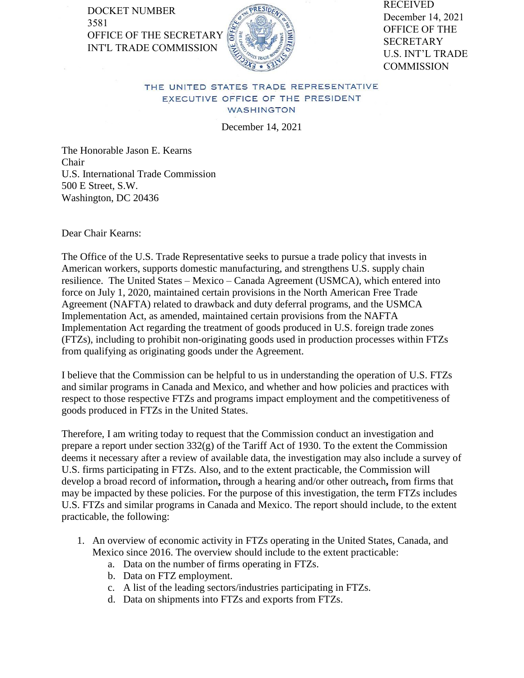DOCKET NUMBER 3581 OFFICE OF THE SECRETARY INT'L TRADE COMMISSION



RECEIVED December 14, 2021 OFFICE OF THE **SECRETARY** U.S. INT'L TRADE **COMMISSION** 

## THE UNITED STATES TRADE REPRESENTATIVE EXECUTIVE OFFICE OF THE PRESIDENT WASHINGTON

December 14, 2021

The Honorable Jason E. Kearns Chair U.S. International Trade Commission 500 E Street, S.W. Washington, DC 20436

Dear Chair Kearns:

The Office of the U.S. Trade Representative seeks to pursue a trade policy that invests in American workers, supports domestic manufacturing, and strengthens U.S. supply chain resilience. The United States – Mexico – Canada Agreement (USMCA), which entered into force on July 1, 2020, maintained certain provisions in the North American Free Trade Agreement (NAFTA) related to drawback and duty deferral programs, and the USMCA Implementation Act, as amended, maintained certain provisions from the NAFTA Implementation Act regarding the treatment of goods produced in U.S. foreign trade zones (FTZs), including to prohibit non-originating goods used in production processes within FTZs from qualifying as originating goods under the Agreement.

I believe that the Commission can be helpful to us in understanding the operation of U.S. FTZs and similar programs in Canada and Mexico, and whether and how policies and practices with respect to those respective FTZs and programs impact employment and the competitiveness of goods produced in FTZs in the United States.

Therefore, I am writing today to request that the Commission conduct an investigation and prepare a report under section  $332(g)$  of the Tariff Act of 1930. To the extent the Commission deems it necessary after a review of available data, the investigation may also include a survey of U.S. firms participating in FTZs. Also, and to the extent practicable, the Commission will develop a broad record of information**,** through a hearing and/or other outreach**,** from firms that may be impacted by these policies. For the purpose of this investigation, the term FTZs includes U.S. FTZs and similar programs in Canada and Mexico. The report should include, to the extent practicable, the following:

- 1. An overview of economic activity in FTZs operating in the United States, Canada, and Mexico since 2016. The overview should include to the extent practicable:
	- a. Data on the number of firms operating in FTZs.
	- b. Data on FTZ employment.
	- c. A list of the leading sectors/industries participating in FTZs.
	- d. Data on shipments into FTZs and exports from FTZs.